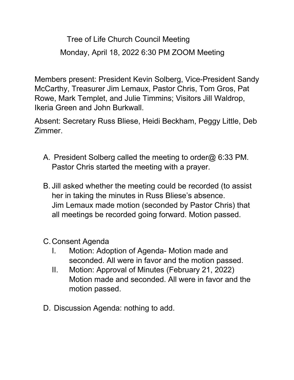Tree of Life Church Council Meeting Monday, April 18, 2022 6:30 PM ZOOM Meeting

Members present: President Kevin Solberg, Vice-President Sandy McCarthy, Treasurer Jim Lemaux, Pastor Chris, Tom Gros, Pat Rowe, Mark Templet, and Julie Timmins; Visitors Jill Waldrop, Ikeria Green and John Burkwall.

Absent: Secretary Russ Bliese, Heidi Beckham, Peggy Little, Deb Zimmer.

- A. President Solberg called the meeting to order@ 6:33 PM. Pastor Chris started the meeting with a prayer.
- B. Jill asked whether the meeting could be recorded (to assist her in taking the minutes in Russ Bliese's absence. Jim Lemaux made motion (seconded by Pastor Chris) that all meetings be recorded going forward. Motion passed.
- C.Consent Agenda
	- I. Motion: Adoption of Agenda- Motion made and seconded. All were in favor and the motion passed.
	- II. Motion: Approval of Minutes (February 21, 2022) Motion made and seconded. All were in favor and the motion passed.
- D. Discussion Agenda: nothing to add.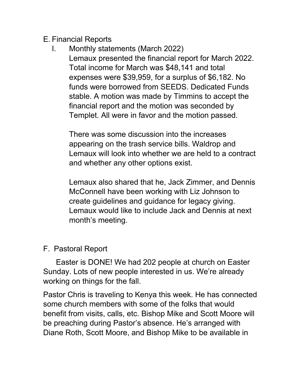#### E. Financial Reports

#### I. Monthly statements (March 2022) Lemaux presented the financial report for March 2022. Total income for March was \$48,141 and total expenses were \$39,959, for a surplus of \$6,182. No funds were borrowed from SEEDS. Dedicated Funds stable. A motion was made by Timmins to accept the financial report and the motion was seconded by Templet. All were in favor and the motion passed.

There was some discussion into the increases appearing on the trash service bills. Waldrop and Lemaux will look into whether we are held to a contract and whether any other options exist.

Lemaux also shared that he, Jack Zimmer, and Dennis McConnell have been working with Liz Johnson to create guidelines and guidance for legacy giving. Lemaux would like to include Jack and Dennis at next month's meeting.

## F. Pastoral Report

 Easter is DONE! We had 202 people at church on Easter Sunday. Lots of new people interested in us. We're already working on things for the fall.

Pastor Chris is traveling to Kenya this week. He has connected some church members with some of the folks that would benefit from visits, calls, etc. Bishop Mike and Scott Moore will be preaching during Pastor's absence. He's arranged with Diane Roth, Scott Moore, and Bishop Mike to be available in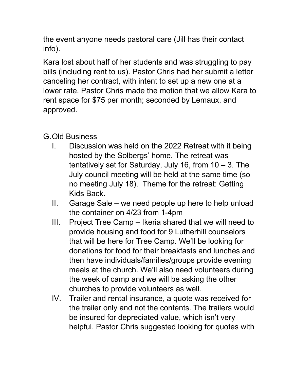the event anyone needs pastoral care (Jill has their contact info).

Kara lost about half of her students and was struggling to pay bills (including rent to us). Pastor Chris had her submit a letter canceling her contract, with intent to set up a new one at a lower rate. Pastor Chris made the motion that we allow Kara to rent space for \$75 per month; seconded by Lemaux, and approved.

# G.Old Business

- I. Discussion was held on the 2022 Retreat with it being hosted by the Solbergs' home. The retreat was tentatively set for Saturday, July 16, from  $10 - 3$ . The July council meeting will be held at the same time (so no meeting July 18). Theme for the retreat: Getting Kids Back.
- II. Garage Sale we need people up here to help unload the container on 4/23 from 1-4pm
- III. Project Tree Camp Ikeria shared that we will need to provide housing and food for 9 Lutherhill counselors that will be here for Tree Camp. We'll be looking for donations for food for their breakfasts and lunches and then have individuals/families/groups provide evening meals at the church. We'll also need volunteers during the week of camp and we will be asking the other churches to provide volunteers as well.
- IV. Trailer and rental insurance, a quote was received for the trailer only and not the contents. The trailers would be insured for depreciated value, which isn't very helpful. Pastor Chris suggested looking for quotes with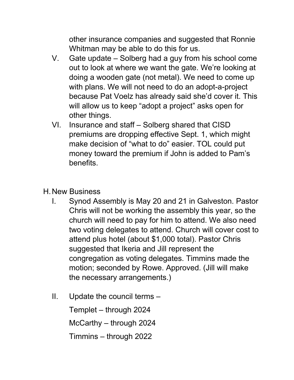other insurance companies and suggested that Ronnie Whitman may be able to do this for us.

- V. Gate update Solberg had a guy from his school come out to look at where we want the gate. We're looking at doing a wooden gate (not metal). We need to come up with plans. We will not need to do an adopt-a-project because Pat Voelz has already said she'd cover it. This will allow us to keep "adopt a project" asks open for other things.
- VI. Insurance and staff Solberg shared that CISD premiums are dropping effective Sept. 1, which might make decision of "what to do" easier. TOL could put money toward the premium if John is added to Pam's benefits.

## H.New Business

- I. Synod Assembly is May 20 and 21 in Galveston. Pastor Chris will not be working the assembly this year, so the church will need to pay for him to attend. We also need two voting delegates to attend. Church will cover cost to attend plus hotel (about \$1,000 total). Pastor Chris suggested that Ikeria and Jill represent the congregation as voting delegates. Timmins made the motion; seconded by Rowe. Approved. (Jill will make the necessary arrangements.)
- II. Update the council terms –

Templet – through 2024

McCarthy – through 2024

Timmins – through 2022